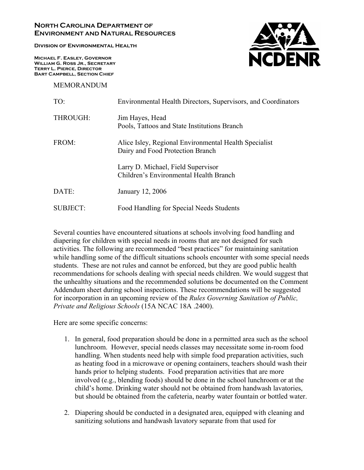## **NORTH CAROLINA DEPARTMENT OF ENVIRONMENT AND NATURAL RESOURCES**

**Division of Environmental Health** 

**Michael F. Easley, Governor William G. Ross Jr., Secretary Terry L. Pierce, Director Bart Campbell, Section Chief** 

MEMORANDUM



| TO:      | Environmental Health Directors, Supervisors, and Coordinators                             |
|----------|-------------------------------------------------------------------------------------------|
| THROUGH: | Jim Hayes, Head<br>Pools, Tattoos and State Institutions Branch                           |
| FROM:    | Alice Isley, Regional Environmental Health Specialist<br>Dairy and Food Protection Branch |
|          | Larry D. Michael, Field Supervisor<br>Children's Environmental Health Branch              |
| DATE:    | January 12, 2006                                                                          |
| SUBJECT: | Food Handling for Special Needs Students                                                  |

Several counties have encountered situations at schools involving food handling and diapering for children with special needs in rooms that are not designed for such activities. The following are recommended "best practices" for maintaining sanitation while handling some of the difficult situations schools encounter with some special needs students. These are not rules and cannot be enforced, but they are good public health recommendations for schools dealing with special needs children. We would suggest that the unhealthy situations and the recommended solutions be documented on the Comment Addendum sheet during school inspections. These recommendations will be suggested for incorporation in an upcoming review of the *Rules Governing Sanitation of Public, Private and Religious Schools* (15A NCAC 18A .2400).

Here are some specific concerns:

- 1. In general, food preparation should be done in a permitted area such as the school lunchroom. However, special needs classes may necessitate some in-room food handling. When students need help with simple food preparation activities, such as heating food in a microwave or opening containers, teachers should wash their hands prior to helping students. Food preparation activities that are more involved (e.g., blending foods) should be done in the school lunchroom or at the child's home. Drinking water should not be obtained from handwash lavatories, but should be obtained from the cafeteria, nearby water fountain or bottled water.
- 2. Diapering should be conducted in a designated area, equipped with cleaning and sanitizing solutions and handwash lavatory separate from that used for